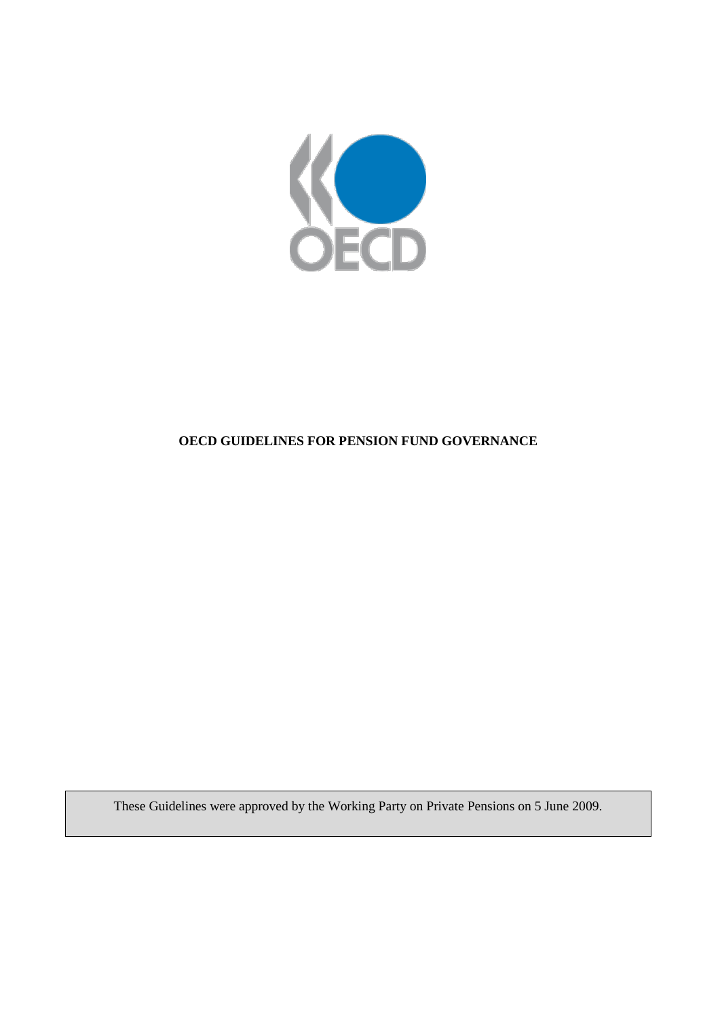

# **OECD GUIDELINES FOR PENSION FUND GOVERNANCE**

These Guidelines were approved by the Working Party on Private Pensions on 5 June 2009.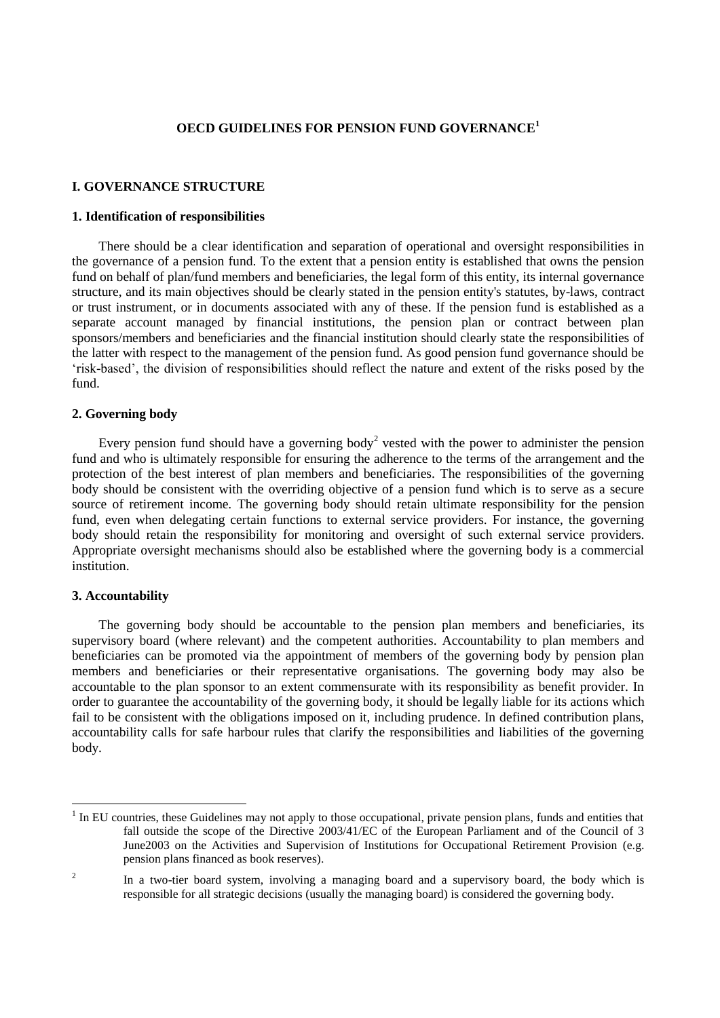# **OECD GUIDELINES FOR PENSION FUND GOVERNANCE<sup>1</sup>**

## **I. GOVERNANCE STRUCTURE**

### **1. Identification of responsibilities**

There should be a clear identification and separation of operational and oversight responsibilities in the governance of a pension fund. To the extent that a pension entity is established that owns the pension fund on behalf of plan/fund members and beneficiaries, the legal form of this entity, its internal governance structure, and its main objectives should be clearly stated in the pension entity's statutes, by-laws, contract or trust instrument, or in documents associated with any of these. If the pension fund is established as a separate account managed by financial institutions, the pension plan or contract between plan sponsors/members and beneficiaries and the financial institution should clearly state the responsibilities of the latter with respect to the management of the pension fund. As good pension fund governance should be "risk-based", the division of responsibilities should reflect the nature and extent of the risks posed by the fund.

### **2. Governing body**

Every pension fund should have a governing body<sup>2</sup> vested with the power to administer the pension fund and who is ultimately responsible for ensuring the adherence to the terms of the arrangement and the protection of the best interest of plan members and beneficiaries. The responsibilities of the governing body should be consistent with the overriding objective of a pension fund which is to serve as a secure source of retirement income. The governing body should retain ultimate responsibility for the pension fund, even when delegating certain functions to external service providers. For instance, the governing body should retain the responsibility for monitoring and oversight of such external service providers. Appropriate oversight mechanisms should also be established where the governing body is a commercial institution.

### **3. Accountability**

The governing body should be accountable to the pension plan members and beneficiaries, its supervisory board (where relevant) and the competent authorities. Accountability to plan members and beneficiaries can be promoted via the appointment of members of the governing body by pension plan members and beneficiaries or their representative organisations. The governing body may also be accountable to the plan sponsor to an extent commensurate with its responsibility as benefit provider. In order to guarantee the accountability of the governing body, it should be legally liable for its actions which fail to be consistent with the obligations imposed on it, including prudence. In defined contribution plans, accountability calls for safe harbour rules that clarify the responsibilities and liabilities of the governing body.

 $\overline{2}$ In a two-tier board system, involving a managing board and a supervisory board, the body which is responsible for all strategic decisions (usually the managing board) is considered the governing body.

 $<sup>1</sup>$  In EU countries, these Guidelines may not apply to those occupational, private pension plans, funds and entities that</sup> fall outside the scope of the Directive 2003/41/EC of the European Parliament and of the Council of 3 June2003 on the Activities and Supervision of Institutions for Occupational Retirement Provision (e.g. pension plans financed as book reserves).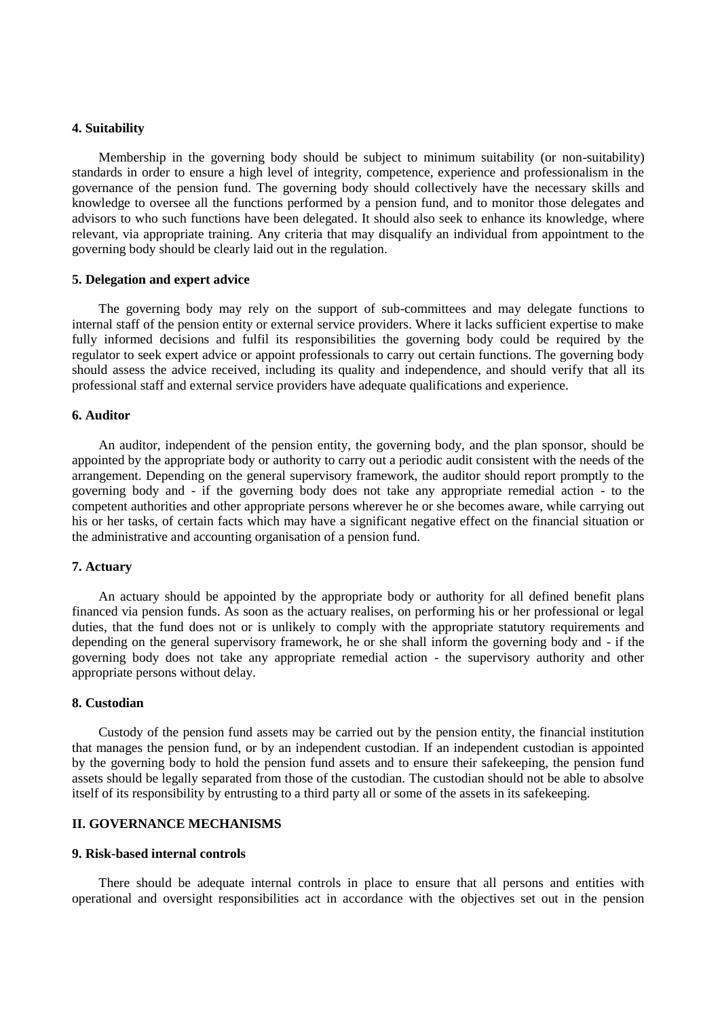### **4. Suitability**

Membership in the governing body should be subject to minimum suitability (or non-suitability) standards in order to ensure a high level of integrity, competence, experience and professionalism in the governance of the pension fund. The governing body should collectively have the necessary skills and knowledge to oversee all the functions performed by a pension fund, and to monitor those delegates and advisors to who such functions have been delegated. It should also seek to enhance its knowledge, where relevant, via appropriate training. Any criteria that may disqualify an individual from appointment to the governing body should be clearly laid out in the regulation.

### **5. Delegation and expert advice**

The governing body may rely on the support of sub-committees and may delegate functions to internal staff of the pension entity or external service providers. Where it lacks sufficient expertise to make fully informed decisions and fulfil its responsibilities the governing body could be required by the regulator to seek expert advice or appoint professionals to carry out certain functions. The governing body should assess the advice received, including its quality and independence, and should verify that all its professional staff and external service providers have adequate qualifications and experience.

### **6. Auditor**

An auditor, independent of the pension entity, the governing body, and the plan sponsor, should be appointed by the appropriate body or authority to carry out a periodic audit consistent with the needs of the arrangement. Depending on the general supervisory framework, the auditor should report promptly to the governing body and - if the governing body does not take any appropriate remedial action - to the competent authorities and other appropriate persons wherever he or she becomes aware, while carrying out his or her tasks, of certain facts which may have a significant negative effect on the financial situation or the administrative and accounting organisation of a pension fund.

### **7. Actuary**

An actuary should be appointed by the appropriate body or authority for all defined benefit plans financed via pension funds. As soon as the actuary realises, on performing his or her professional or legal duties, that the fund does not or is unlikely to comply with the appropriate statutory requirements and depending on the general supervisory framework, he or she shall inform the governing body and - if the governing body does not take any appropriate remedial action - the supervisory authority and other appropriate persons without delay.

### **8. Custodian**

Custody of the pension fund assets may be carried out by the pension entity, the financial institution that manages the pension fund, or by an independent custodian. If an independent custodian is appointed by the governing body to hold the pension fund assets and to ensure their safekeeping, the pension fund assets should be legally separated from those of the custodian. The custodian should not be able to absolve itself of its responsibility by entrusting to a third party all or some of the assets in its safekeeping.

## **II. GOVERNANCE MECHANISMS**

# **9. Risk-based internal controls**

There should be adequate internal controls in place to ensure that all persons and entities with operational and oversight responsibilities act in accordance with the objectives set out in the pension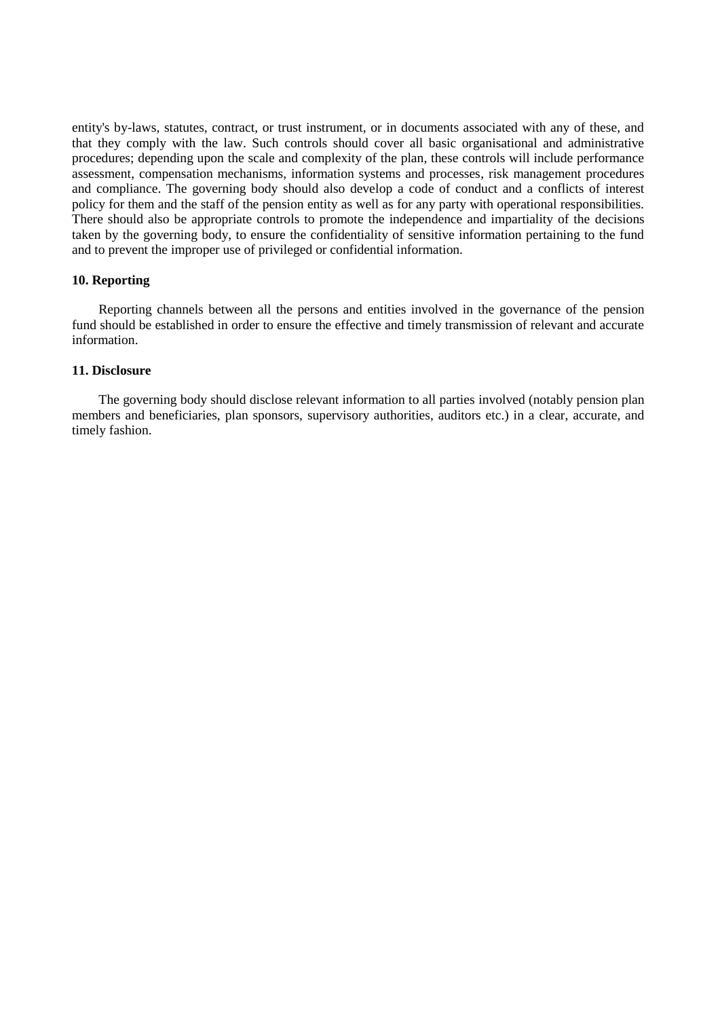entity's by-laws, statutes, contract, or trust instrument, or in documents associated with any of these, and that they comply with the law. Such controls should cover all basic organisational and administrative procedures; depending upon the scale and complexity of the plan, these controls will include performance assessment, compensation mechanisms, information systems and processes, risk management procedures and compliance. The governing body should also develop a code of conduct and a conflicts of interest policy for them and the staff of the pension entity as well as for any party with operational responsibilities. There should also be appropriate controls to promote the independence and impartiality of the decisions taken by the governing body, to ensure the confidentiality of sensitive information pertaining to the fund and to prevent the improper use of privileged or confidential information.

### **10. Reporting**

Reporting channels between all the persons and entities involved in the governance of the pension fund should be established in order to ensure the effective and timely transmission of relevant and accurate information.

### **11. Disclosure**

The governing body should disclose relevant information to all parties involved (notably pension plan members and beneficiaries, plan sponsors, supervisory authorities, auditors etc.) in a clear, accurate, and timely fashion.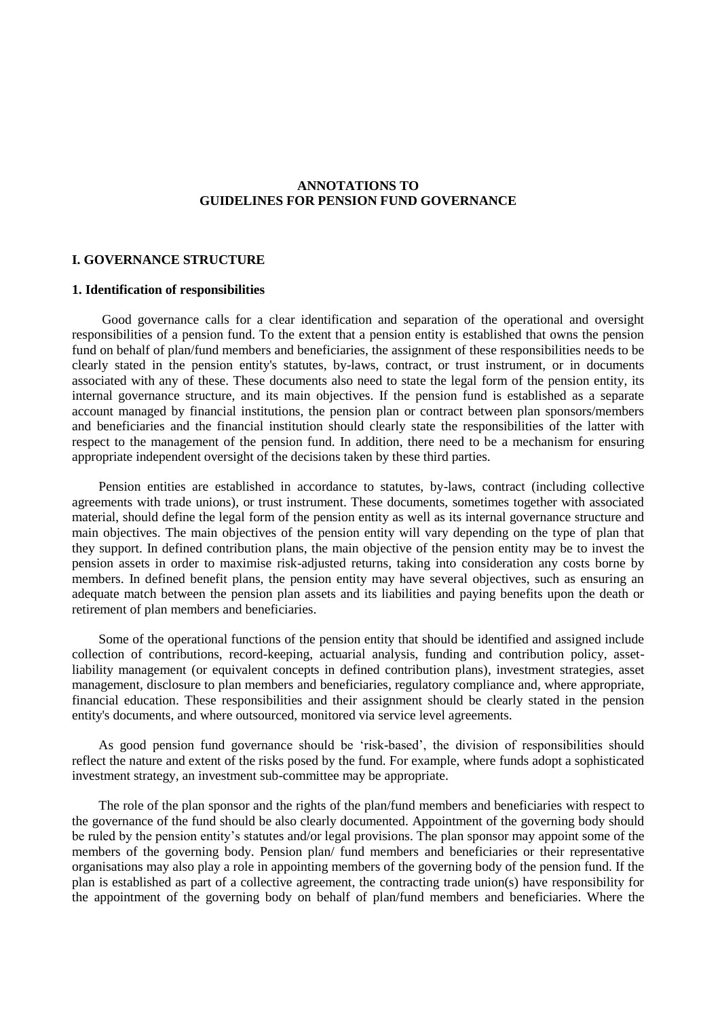# **ANNOTATIONS TO GUIDELINES FOR PENSION FUND GOVERNANCE**

# **I. GOVERNANCE STRUCTURE**

#### **1. Identification of responsibilities**

Good governance calls for a clear identification and separation of the operational and oversight responsibilities of a pension fund. To the extent that a pension entity is established that owns the pension fund on behalf of plan/fund members and beneficiaries, the assignment of these responsibilities needs to be clearly stated in the pension entity's statutes, by-laws, contract, or trust instrument, or in documents associated with any of these. These documents also need to state the legal form of the pension entity, its internal governance structure, and its main objectives. If the pension fund is established as a separate account managed by financial institutions, the pension plan or contract between plan sponsors/members and beneficiaries and the financial institution should clearly state the responsibilities of the latter with respect to the management of the pension fund. In addition, there need to be a mechanism for ensuring appropriate independent oversight of the decisions taken by these third parties.

Pension entities are established in accordance to statutes, by-laws, contract (including collective agreements with trade unions), or trust instrument. These documents, sometimes together with associated material, should define the legal form of the pension entity as well as its internal governance structure and main objectives. The main objectives of the pension entity will vary depending on the type of plan that they support. In defined contribution plans, the main objective of the pension entity may be to invest the pension assets in order to maximise risk-adjusted returns, taking into consideration any costs borne by members. In defined benefit plans, the pension entity may have several objectives, such as ensuring an adequate match between the pension plan assets and its liabilities and paying benefits upon the death or retirement of plan members and beneficiaries.

Some of the operational functions of the pension entity that should be identified and assigned include collection of contributions, record-keeping, actuarial analysis, funding and contribution policy, assetliability management (or equivalent concepts in defined contribution plans), investment strategies, asset management, disclosure to plan members and beneficiaries, regulatory compliance and, where appropriate, financial education. These responsibilities and their assignment should be clearly stated in the pension entity's documents, and where outsourced, monitored via service level agreements.

As good pension fund governance should be "risk-based", the division of responsibilities should reflect the nature and extent of the risks posed by the fund. For example, where funds adopt a sophisticated investment strategy, an investment sub-committee may be appropriate.

The role of the plan sponsor and the rights of the plan/fund members and beneficiaries with respect to the governance of the fund should be also clearly documented. Appointment of the governing body should be ruled by the pension entity's statutes and/or legal provisions. The plan sponsor may appoint some of the members of the governing body. Pension plan/ fund members and beneficiaries or their representative organisations may also play a role in appointing members of the governing body of the pension fund. If the plan is established as part of a collective agreement, the contracting trade union(s) have responsibility for the appointment of the governing body on behalf of plan/fund members and beneficiaries. Where the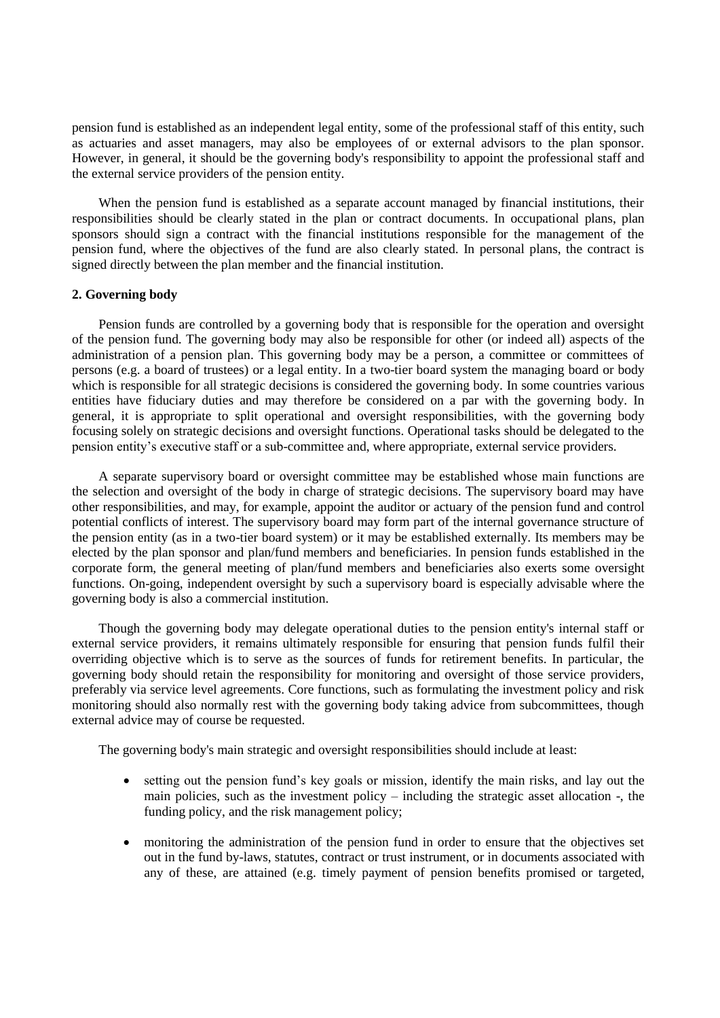pension fund is established as an independent legal entity, some of the professional staff of this entity, such as actuaries and asset managers, may also be employees of or external advisors to the plan sponsor. However, in general, it should be the governing body's responsibility to appoint the professional staff and the external service providers of the pension entity.

When the pension fund is established as a separate account managed by financial institutions, their responsibilities should be clearly stated in the plan or contract documents. In occupational plans, plan sponsors should sign a contract with the financial institutions responsible for the management of the pension fund, where the objectives of the fund are also clearly stated. In personal plans, the contract is signed directly between the plan member and the financial institution.

# **2. Governing body**

Pension funds are controlled by a governing body that is responsible for the operation and oversight of the pension fund. The governing body may also be responsible for other (or indeed all) aspects of the administration of a pension plan. This governing body may be a person, a committee or committees of persons (e.g. a board of trustees) or a legal entity. In a two-tier board system the managing board or body which is responsible for all strategic decisions is considered the governing body. In some countries various entities have fiduciary duties and may therefore be considered on a par with the governing body. In general, it is appropriate to split operational and oversight responsibilities, with the governing body focusing solely on strategic decisions and oversight functions. Operational tasks should be delegated to the pension entity"s executive staff or a sub-committee and, where appropriate, external service providers.

A separate supervisory board or oversight committee may be established whose main functions are the selection and oversight of the body in charge of strategic decisions. The supervisory board may have other responsibilities, and may, for example, appoint the auditor or actuary of the pension fund and control potential conflicts of interest. The supervisory board may form part of the internal governance structure of the pension entity (as in a two-tier board system) or it may be established externally. Its members may be elected by the plan sponsor and plan/fund members and beneficiaries. In pension funds established in the corporate form, the general meeting of plan/fund members and beneficiaries also exerts some oversight functions. On-going, independent oversight by such a supervisory board is especially advisable where the governing body is also a commercial institution.

Though the governing body may delegate operational duties to the pension entity's internal staff or external service providers, it remains ultimately responsible for ensuring that pension funds fulfil their overriding objective which is to serve as the sources of funds for retirement benefits. In particular, the governing body should retain the responsibility for monitoring and oversight of those service providers, preferably via service level agreements. Core functions, such as formulating the investment policy and risk monitoring should also normally rest with the governing body taking advice from subcommittees, though external advice may of course be requested.

The governing body's main strategic and oversight responsibilities should include at least:

- setting out the pension fund"s key goals or mission, identify the main risks, and lay out the main policies, such as the investment policy – including the strategic asset allocation -, the funding policy, and the risk management policy;
- monitoring the administration of the pension fund in order to ensure that the objectives set out in the fund by-laws, statutes, contract or trust instrument, or in documents associated with any of these, are attained (e.g. timely payment of pension benefits promised or targeted,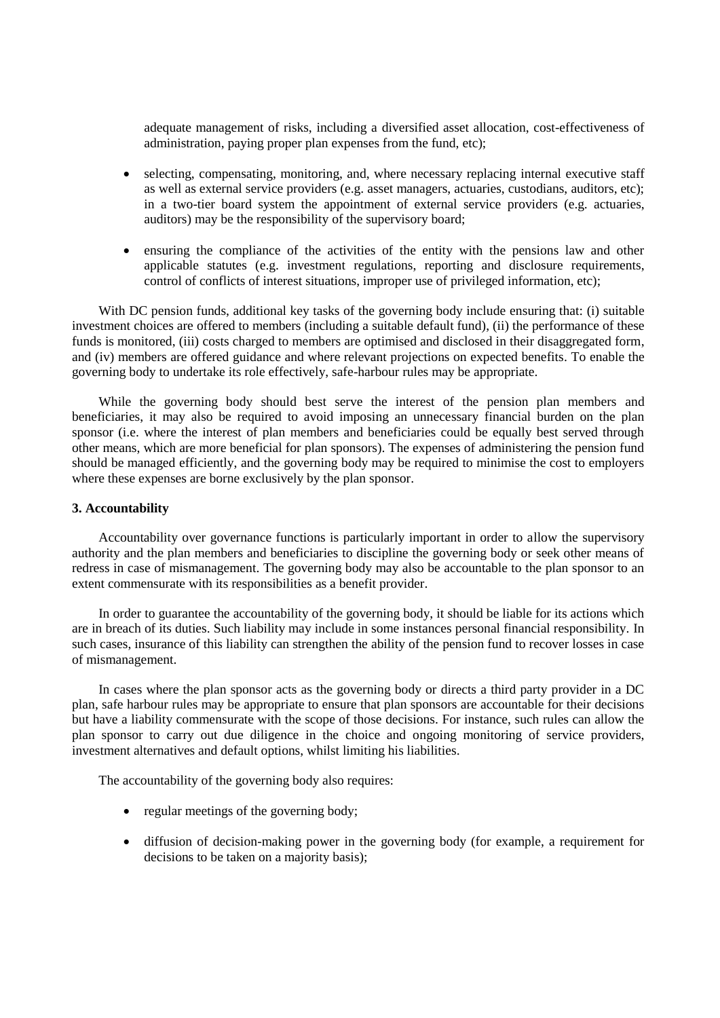adequate management of risks, including a diversified asset allocation, cost-effectiveness of administration, paying proper plan expenses from the fund, etc);

- selecting, compensating, monitoring, and, where necessary replacing internal executive staff as well as external service providers (e.g. asset managers, actuaries, custodians, auditors, etc); in a two-tier board system the appointment of external service providers (e.g. actuaries, auditors) may be the responsibility of the supervisory board;
- ensuring the compliance of the activities of the entity with the pensions law and other applicable statutes (e.g. investment regulations, reporting and disclosure requirements, control of conflicts of interest situations, improper use of privileged information, etc);

With DC pension funds, additional key tasks of the governing body include ensuring that: (i) suitable investment choices are offered to members (including a suitable default fund), (ii) the performance of these funds is monitored, (iii) costs charged to members are optimised and disclosed in their disaggregated form, and (iv) members are offered guidance and where relevant projections on expected benefits. To enable the governing body to undertake its role effectively, safe-harbour rules may be appropriate.

While the governing body should best serve the interest of the pension plan members and beneficiaries, it may also be required to avoid imposing an unnecessary financial burden on the plan sponsor (i.e. where the interest of plan members and beneficiaries could be equally best served through other means, which are more beneficial for plan sponsors). The expenses of administering the pension fund should be managed efficiently, and the governing body may be required to minimise the cost to employers where these expenses are borne exclusively by the plan sponsor.

#### **3. Accountability**

Accountability over governance functions is particularly important in order to allow the supervisory authority and the plan members and beneficiaries to discipline the governing body or seek other means of redress in case of mismanagement. The governing body may also be accountable to the plan sponsor to an extent commensurate with its responsibilities as a benefit provider.

In order to guarantee the accountability of the governing body, it should be liable for its actions which are in breach of its duties. Such liability may include in some instances personal financial responsibility. In such cases, insurance of this liability can strengthen the ability of the pension fund to recover losses in case of mismanagement.

In cases where the plan sponsor acts as the governing body or directs a third party provider in a DC plan, safe harbour rules may be appropriate to ensure that plan sponsors are accountable for their decisions but have a liability commensurate with the scope of those decisions. For instance, such rules can allow the plan sponsor to carry out due diligence in the choice and ongoing monitoring of service providers, investment alternatives and default options, whilst limiting his liabilities.

The accountability of the governing body also requires:

- regular meetings of the governing body;
- diffusion of decision-making power in the governing body (for example, a requirement for decisions to be taken on a majority basis);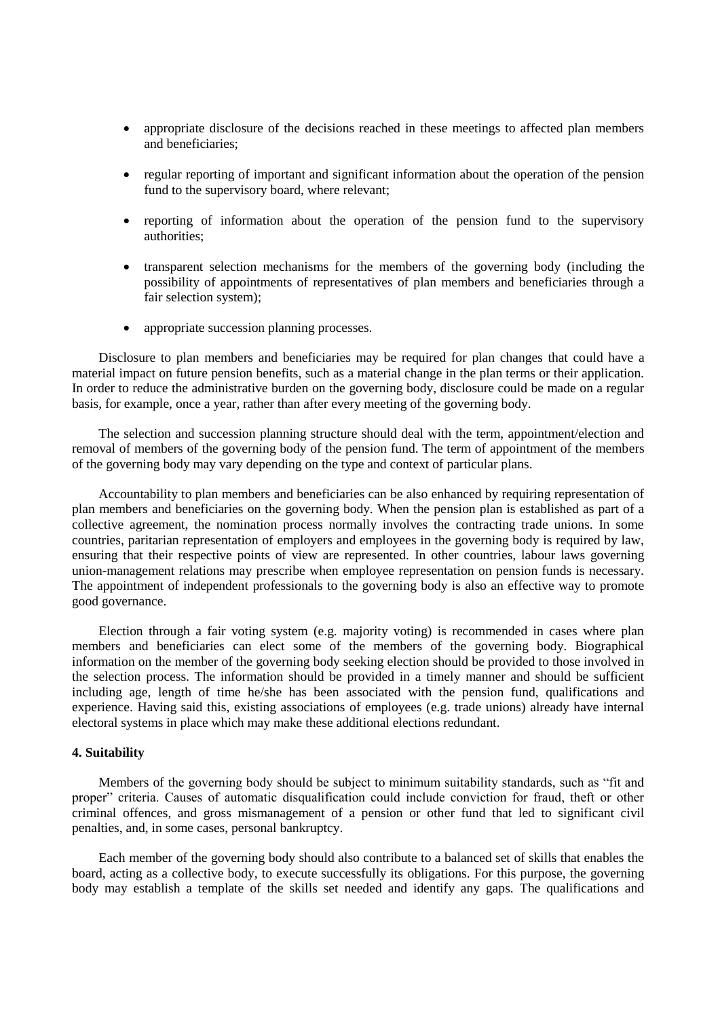- appropriate disclosure of the decisions reached in these meetings to affected plan members and beneficiaries;
- regular reporting of important and significant information about the operation of the pension fund to the supervisory board, where relevant;
- reporting of information about the operation of the pension fund to the supervisory authorities;
- transparent selection mechanisms for the members of the governing body (including the possibility of appointments of representatives of plan members and beneficiaries through a fair selection system);
- appropriate succession planning processes.

Disclosure to plan members and beneficiaries may be required for plan changes that could have a material impact on future pension benefits, such as a material change in the plan terms or their application. In order to reduce the administrative burden on the governing body, disclosure could be made on a regular basis, for example, once a year, rather than after every meeting of the governing body.

The selection and succession planning structure should deal with the term, appointment/election and removal of members of the governing body of the pension fund. The term of appointment of the members of the governing body may vary depending on the type and context of particular plans.

Accountability to plan members and beneficiaries can be also enhanced by requiring representation of plan members and beneficiaries on the governing body. When the pension plan is established as part of a collective agreement, the nomination process normally involves the contracting trade unions. In some countries, paritarian representation of employers and employees in the governing body is required by law, ensuring that their respective points of view are represented. In other countries, labour laws governing union-management relations may prescribe when employee representation on pension funds is necessary. The appointment of independent professionals to the governing body is also an effective way to promote good governance.

Election through a fair voting system (e.g. majority voting) is recommended in cases where plan members and beneficiaries can elect some of the members of the governing body. Biographical information on the member of the governing body seeking election should be provided to those involved in the selection process. The information should be provided in a timely manner and should be sufficient including age, length of time he/she has been associated with the pension fund, qualifications and experience. Having said this, existing associations of employees (e.g. trade unions) already have internal electoral systems in place which may make these additional elections redundant.

### **4. Suitability**

Members of the governing body should be subject to minimum suitability standards, such as "fit and proper" criteria. Causes of automatic disqualification could include conviction for fraud, theft or other criminal offences, and gross mismanagement of a pension or other fund that led to significant civil penalties, and, in some cases, personal bankruptcy.

Each member of the governing body should also contribute to a balanced set of skills that enables the board, acting as a collective body, to execute successfully its obligations. For this purpose, the governing body may establish a template of the skills set needed and identify any gaps. The qualifications and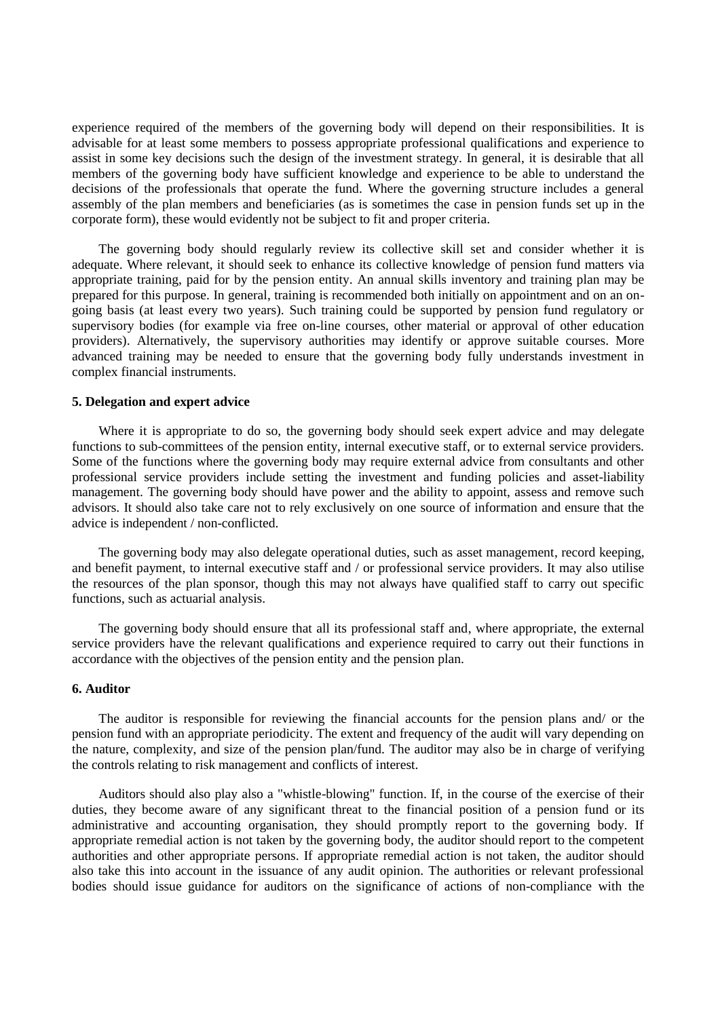experience required of the members of the governing body will depend on their responsibilities. It is advisable for at least some members to possess appropriate professional qualifications and experience to assist in some key decisions such the design of the investment strategy. In general, it is desirable that all members of the governing body have sufficient knowledge and experience to be able to understand the decisions of the professionals that operate the fund. Where the governing structure includes a general assembly of the plan members and beneficiaries (as is sometimes the case in pension funds set up in the corporate form), these would evidently not be subject to fit and proper criteria.

The governing body should regularly review its collective skill set and consider whether it is adequate. Where relevant, it should seek to enhance its collective knowledge of pension fund matters via appropriate training, paid for by the pension entity. An annual skills inventory and training plan may be prepared for this purpose. In general, training is recommended both initially on appointment and on an ongoing basis (at least every two years). Such training could be supported by pension fund regulatory or supervisory bodies (for example via free on-line courses, other material or approval of other education providers). Alternatively, the supervisory authorities may identify or approve suitable courses. More advanced training may be needed to ensure that the governing body fully understands investment in complex financial instruments.

### **5. Delegation and expert advice**

Where it is appropriate to do so, the governing body should seek expert advice and may delegate functions to sub-committees of the pension entity, internal executive staff, or to external service providers. Some of the functions where the governing body may require external advice from consultants and other professional service providers include setting the investment and funding policies and asset-liability management. The governing body should have power and the ability to appoint, assess and remove such advisors. It should also take care not to rely exclusively on one source of information and ensure that the advice is independent / non-conflicted.

The governing body may also delegate operational duties, such as asset management, record keeping, and benefit payment, to internal executive staff and / or professional service providers. It may also utilise the resources of the plan sponsor, though this may not always have qualified staff to carry out specific functions, such as actuarial analysis.

The governing body should ensure that all its professional staff and, where appropriate, the external service providers have the relevant qualifications and experience required to carry out their functions in accordance with the objectives of the pension entity and the pension plan.

### **6. Auditor**

The auditor is responsible for reviewing the financial accounts for the pension plans and/ or the pension fund with an appropriate periodicity. The extent and frequency of the audit will vary depending on the nature, complexity, and size of the pension plan/fund. The auditor may also be in charge of verifying the controls relating to risk management and conflicts of interest.

Auditors should also play also a "whistle-blowing" function. If, in the course of the exercise of their duties, they become aware of any significant threat to the financial position of a pension fund or its administrative and accounting organisation, they should promptly report to the governing body. If appropriate remedial action is not taken by the governing body, the auditor should report to the competent authorities and other appropriate persons. If appropriate remedial action is not taken, the auditor should also take this into account in the issuance of any audit opinion. The authorities or relevant professional bodies should issue guidance for auditors on the significance of actions of non-compliance with the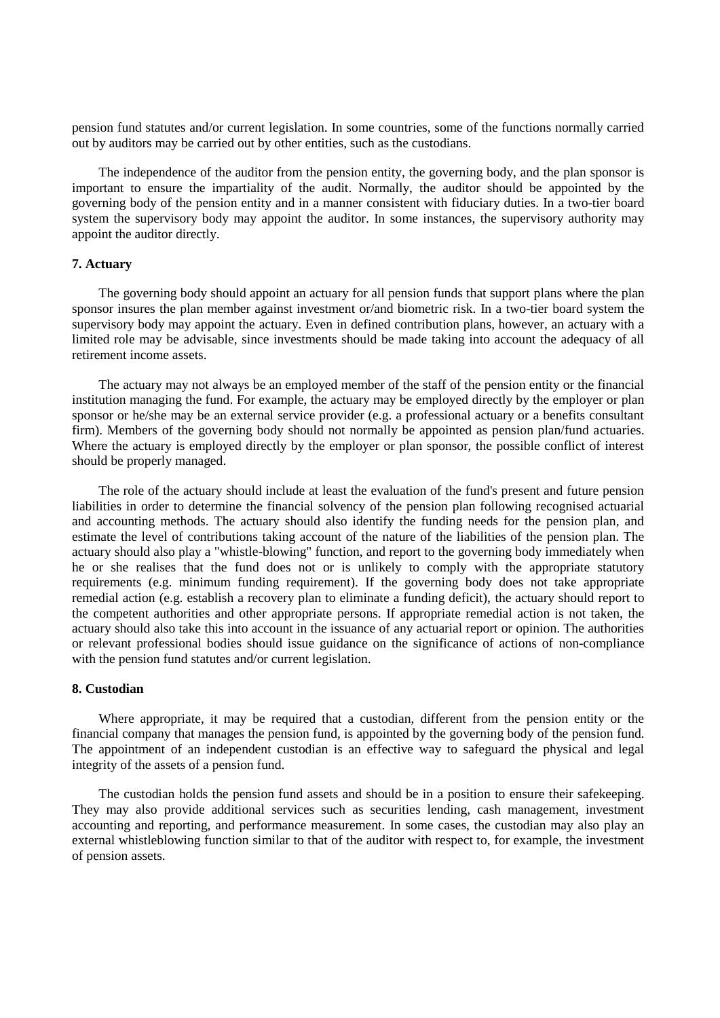pension fund statutes and/or current legislation. In some countries, some of the functions normally carried out by auditors may be carried out by other entities, such as the custodians.

The independence of the auditor from the pension entity, the governing body, and the plan sponsor is important to ensure the impartiality of the audit. Normally, the auditor should be appointed by the governing body of the pension entity and in a manner consistent with fiduciary duties. In a two-tier board system the supervisory body may appoint the auditor. In some instances, the supervisory authority may appoint the auditor directly.

# **7. Actuary**

The governing body should appoint an actuary for all pension funds that support plans where the plan sponsor insures the plan member against investment or/and biometric risk. In a two-tier board system the supervisory body may appoint the actuary. Even in defined contribution plans, however, an actuary with a limited role may be advisable, since investments should be made taking into account the adequacy of all retirement income assets.

The actuary may not always be an employed member of the staff of the pension entity or the financial institution managing the fund. For example, the actuary may be employed directly by the employer or plan sponsor or he/she may be an external service provider (e.g. a professional actuary or a benefits consultant firm). Members of the governing body should not normally be appointed as pension plan/fund actuaries. Where the actuary is employed directly by the employer or plan sponsor, the possible conflict of interest should be properly managed.

The role of the actuary should include at least the evaluation of the fund's present and future pension liabilities in order to determine the financial solvency of the pension plan following recognised actuarial and accounting methods. The actuary should also identify the funding needs for the pension plan, and estimate the level of contributions taking account of the nature of the liabilities of the pension plan. The actuary should also play a "whistle-blowing" function, and report to the governing body immediately when he or she realises that the fund does not or is unlikely to comply with the appropriate statutory requirements (e.g. minimum funding requirement). If the governing body does not take appropriate remedial action (e.g. establish a recovery plan to eliminate a funding deficit), the actuary should report to the competent authorities and other appropriate persons. If appropriate remedial action is not taken, the actuary should also take this into account in the issuance of any actuarial report or opinion. The authorities or relevant professional bodies should issue guidance on the significance of actions of non-compliance with the pension fund statutes and/or current legislation.

## **8. Custodian**

Where appropriate, it may be required that a custodian, different from the pension entity or the financial company that manages the pension fund, is appointed by the governing body of the pension fund. The appointment of an independent custodian is an effective way to safeguard the physical and legal integrity of the assets of a pension fund.

The custodian holds the pension fund assets and should be in a position to ensure their safekeeping. They may also provide additional services such as securities lending, cash management, investment accounting and reporting, and performance measurement. In some cases, the custodian may also play an external whistleblowing function similar to that of the auditor with respect to, for example, the investment of pension assets.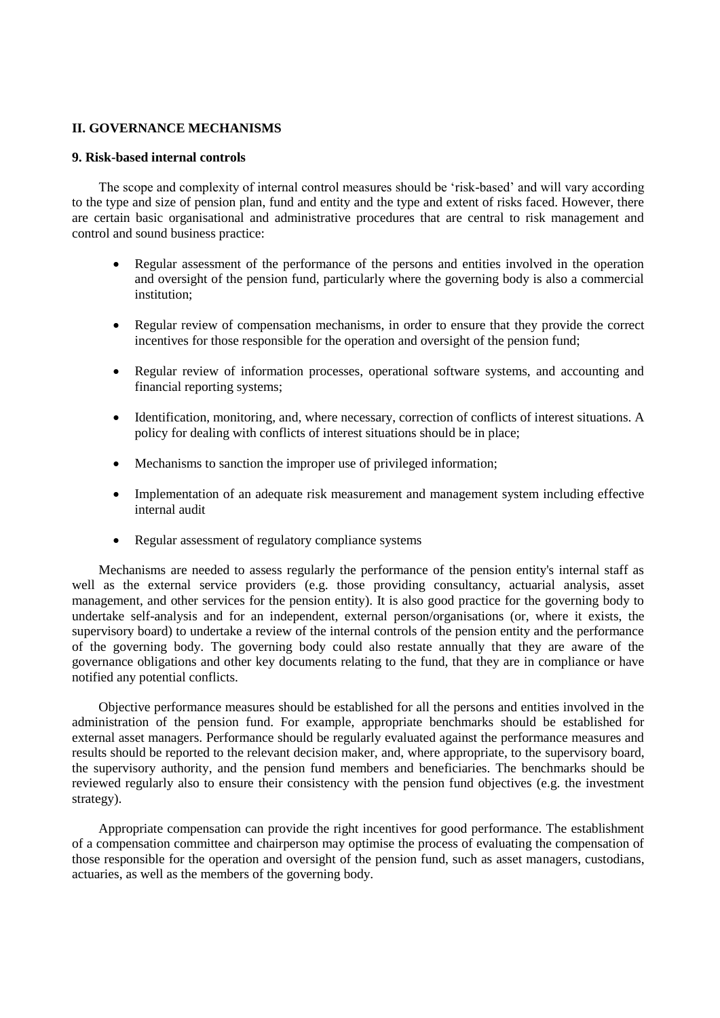# **II. GOVERNANCE MECHANISMS**

### **9. Risk-based internal controls**

The scope and complexity of internal control measures should be "risk-based" and will vary according to the type and size of pension plan, fund and entity and the type and extent of risks faced. However, there are certain basic organisational and administrative procedures that are central to risk management and control and sound business practice:

- Regular assessment of the performance of the persons and entities involved in the operation and oversight of the pension fund, particularly where the governing body is also a commercial institution;
- Regular review of compensation mechanisms, in order to ensure that they provide the correct incentives for those responsible for the operation and oversight of the pension fund;
- Regular review of information processes, operational software systems, and accounting and financial reporting systems;
- Identification, monitoring, and, where necessary, correction of conflicts of interest situations. A policy for dealing with conflicts of interest situations should be in place;
- Mechanisms to sanction the improper use of privileged information;
- Implementation of an adequate risk measurement and management system including effective internal audit
- Regular assessment of regulatory compliance systems

Mechanisms are needed to assess regularly the performance of the pension entity's internal staff as well as the external service providers (e.g. those providing consultancy, actuarial analysis, asset management, and other services for the pension entity). It is also good practice for the governing body to undertake self-analysis and for an independent, external person/organisations (or, where it exists, the supervisory board) to undertake a review of the internal controls of the pension entity and the performance of the governing body. The governing body could also restate annually that they are aware of the governance obligations and other key documents relating to the fund, that they are in compliance or have notified any potential conflicts.

Objective performance measures should be established for all the persons and entities involved in the administration of the pension fund. For example, appropriate benchmarks should be established for external asset managers. Performance should be regularly evaluated against the performance measures and results should be reported to the relevant decision maker, and, where appropriate, to the supervisory board, the supervisory authority, and the pension fund members and beneficiaries. The benchmarks should be reviewed regularly also to ensure their consistency with the pension fund objectives (e.g. the investment strategy).

Appropriate compensation can provide the right incentives for good performance. The establishment of a compensation committee and chairperson may optimise the process of evaluating the compensation of those responsible for the operation and oversight of the pension fund, such as asset managers, custodians, actuaries, as well as the members of the governing body.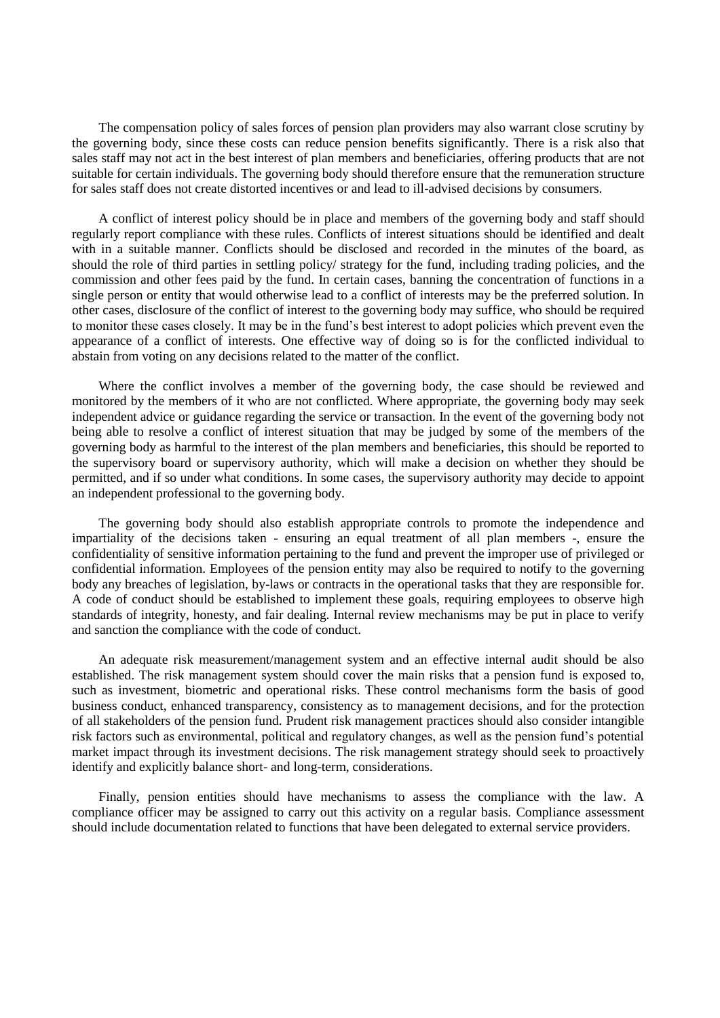The compensation policy of sales forces of pension plan providers may also warrant close scrutiny by the governing body, since these costs can reduce pension benefits significantly. There is a risk also that sales staff may not act in the best interest of plan members and beneficiaries, offering products that are not suitable for certain individuals. The governing body should therefore ensure that the remuneration structure for sales staff does not create distorted incentives or and lead to ill-advised decisions by consumers.

A conflict of interest policy should be in place and members of the governing body and staff should regularly report compliance with these rules. Conflicts of interest situations should be identified and dealt with in a suitable manner. Conflicts should be disclosed and recorded in the minutes of the board, as should the role of third parties in settling policy/ strategy for the fund, including trading policies, and the commission and other fees paid by the fund. In certain cases, banning the concentration of functions in a single person or entity that would otherwise lead to a conflict of interests may be the preferred solution. In other cases, disclosure of the conflict of interest to the governing body may suffice, who should be required to monitor these cases closely. It may be in the fund"s best interest to adopt policies which prevent even the appearance of a conflict of interests. One effective way of doing so is for the conflicted individual to abstain from voting on any decisions related to the matter of the conflict.

Where the conflict involves a member of the governing body, the case should be reviewed and monitored by the members of it who are not conflicted. Where appropriate, the governing body may seek independent advice or guidance regarding the service or transaction. In the event of the governing body not being able to resolve a conflict of interest situation that may be judged by some of the members of the governing body as harmful to the interest of the plan members and beneficiaries, this should be reported to the supervisory board or supervisory authority, which will make a decision on whether they should be permitted, and if so under what conditions. In some cases, the supervisory authority may decide to appoint an independent professional to the governing body.

The governing body should also establish appropriate controls to promote the independence and impartiality of the decisions taken - ensuring an equal treatment of all plan members -, ensure the confidentiality of sensitive information pertaining to the fund and prevent the improper use of privileged or confidential information. Employees of the pension entity may also be required to notify to the governing body any breaches of legislation, by-laws or contracts in the operational tasks that they are responsible for. A code of conduct should be established to implement these goals, requiring employees to observe high standards of integrity, honesty, and fair dealing. Internal review mechanisms may be put in place to verify and sanction the compliance with the code of conduct.

An adequate risk measurement/management system and an effective internal audit should be also established. The risk management system should cover the main risks that a pension fund is exposed to, such as investment, biometric and operational risks. These control mechanisms form the basis of good business conduct, enhanced transparency, consistency as to management decisions, and for the protection of all stakeholders of the pension fund. Prudent risk management practices should also consider intangible risk factors such as environmental, political and regulatory changes, as well as the pension fund"s potential market impact through its investment decisions. The risk management strategy should seek to proactively identify and explicitly balance short- and long-term, considerations.

Finally, pension entities should have mechanisms to assess the compliance with the law. A compliance officer may be assigned to carry out this activity on a regular basis. Compliance assessment should include documentation related to functions that have been delegated to external service providers.